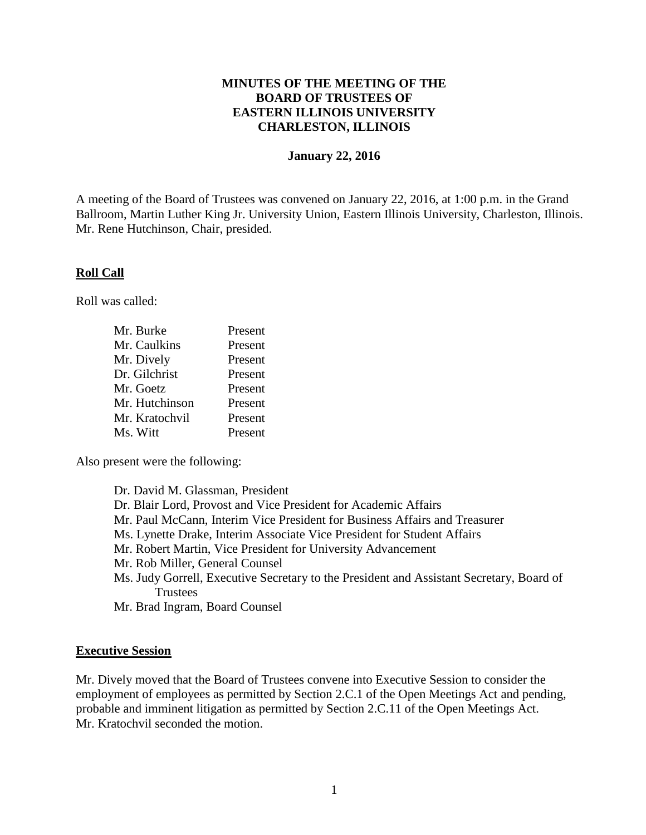### **MINUTES OF THE MEETING OF THE BOARD OF TRUSTEES OF EASTERN ILLINOIS UNIVERSITY CHARLESTON, ILLINOIS**

#### **January 22, 2016**

A meeting of the Board of Trustees was convened on January 22, 2016, at 1:00 p.m. in the Grand Ballroom, Martin Luther King Jr. University Union, Eastern Illinois University, Charleston, Illinois. Mr. Rene Hutchinson, Chair, presided.

#### **Roll Call**

Roll was called:

| Mr. Burke      | Present |
|----------------|---------|
| Mr. Caulkins   | Present |
| Mr. Dively     | Present |
| Dr. Gilchrist  | Present |
| Mr. Goetz      | Present |
| Mr. Hutchinson | Present |
| Mr. Kratochvil | Present |
| Ms. Witt       | Present |

Also present were the following:

Dr. David M. Glassman, President Dr. Blair Lord, Provost and Vice President for Academic Affairs Mr. Paul McCann, Interim Vice President for Business Affairs and Treasurer Ms. Lynette Drake, Interim Associate Vice President for Student Affairs Mr. Robert Martin, Vice President for University Advancement Mr. Rob Miller, General Counsel Ms. Judy Gorrell, Executive Secretary to the President and Assistant Secretary, Board of **Trustees** Mr. Brad Ingram, Board Counsel

#### **Executive Session**

Mr. Dively moved that the Board of Trustees convene into Executive Session to consider the employment of employees as permitted by Section 2.C.1 of the Open Meetings Act and pending, probable and imminent litigation as permitted by Section 2.C.11 of the Open Meetings Act. Mr. Kratochvil seconded the motion.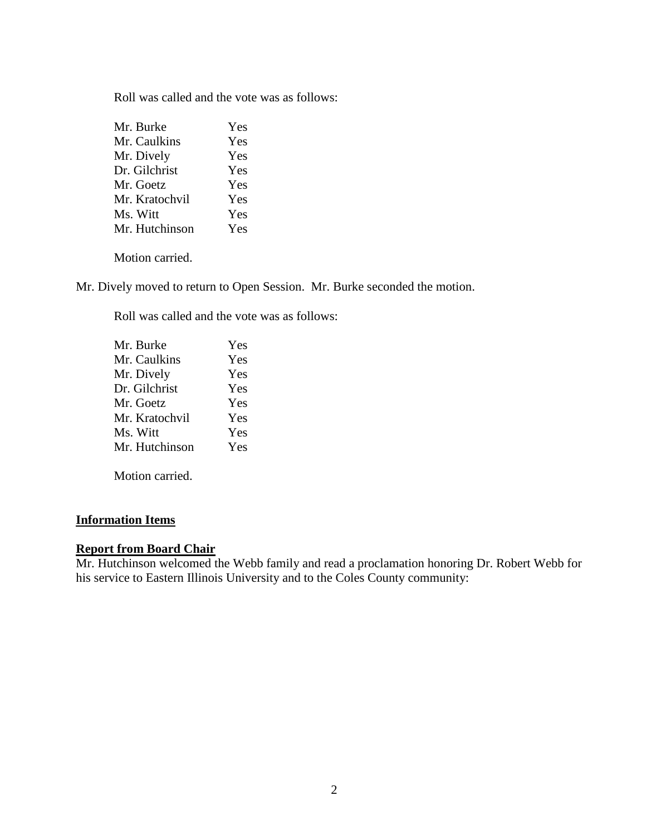Roll was called and the vote was as follows:

| Mr. Burke      | Yes |
|----------------|-----|
| Mr. Caulkins   | Yes |
| Mr. Dively     | Yes |
| Dr. Gilchrist  | Yes |
| Mr. Goetz      | Yes |
| Mr. Kratochvil | Yes |
| Ms. Witt       | Yes |
| Mr. Hutchinson | Yes |
|                |     |

Motion carried.

Mr. Dively moved to return to Open Session. Mr. Burke seconded the motion.

Roll was called and the vote was as follows:

| Mr. Burke      | Yes |
|----------------|-----|
| Mr. Caulkins   | Yes |
| Mr. Dively     | Yes |
| Dr. Gilchrist  | Yes |
| Mr. Goetz      | Yes |
| Mr. Kratochvil | Yes |
| Ms. Witt       | Yes |
| Mr. Hutchinson | Yes |
|                |     |

Motion carried.

## **Information Items**

## **Report from Board Chair**

Mr. Hutchinson welcomed the Webb family and read a proclamation honoring Dr. Robert Webb for his service to Eastern Illinois University and to the Coles County community: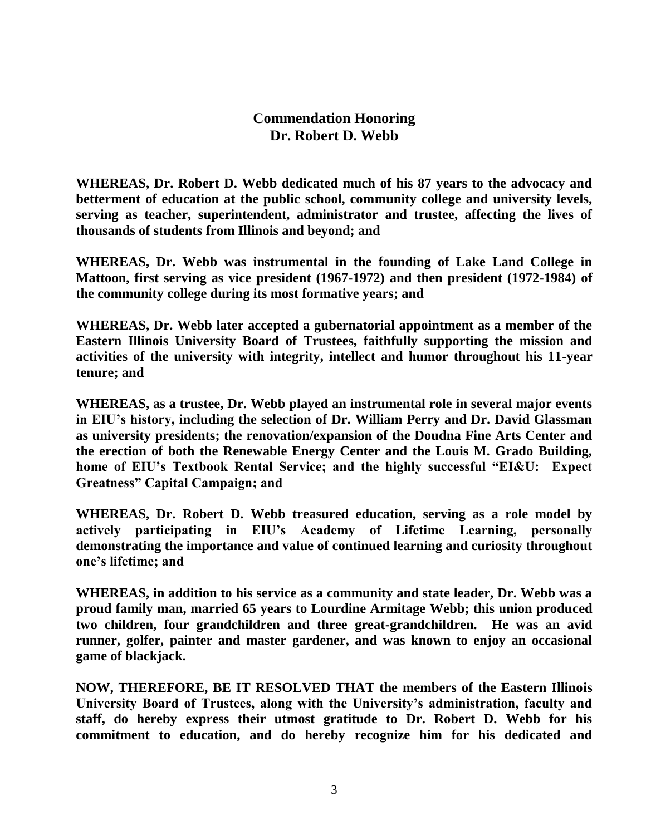# **Commendation Honoring Dr. Robert D. Webb**

**WHEREAS, Dr. Robert D. Webb dedicated much of his 87 years to the advocacy and betterment of education at the public school, community college and university levels, serving as teacher, superintendent, administrator and trustee, affecting the lives of thousands of students from Illinois and beyond; and**

**WHEREAS, Dr. Webb was instrumental in the founding of Lake Land College in Mattoon, first serving as vice president (1967-1972) and then president (1972-1984) of the community college during its most formative years; and**

**WHEREAS, Dr. Webb later accepted a gubernatorial appointment as a member of the Eastern Illinois University Board of Trustees, faithfully supporting the mission and activities of the university with integrity, intellect and humor throughout his 11-year tenure; and**

**WHEREAS, as a trustee, Dr. Webb played an instrumental role in several major events in EIU's history, including the selection of Dr. William Perry and Dr. David Glassman as university presidents; the renovation/expansion of the Doudna Fine Arts Center and the erection of both the Renewable Energy Center and the Louis M. Grado Building, home of EIU's Textbook Rental Service; and the highly successful "EI&U: Expect Greatness" Capital Campaign; and** 

**WHEREAS, Dr. Robert D. Webb treasured education, serving as a role model by actively participating in EIU's Academy of Lifetime Learning, personally demonstrating the importance and value of continued learning and curiosity throughout one's lifetime; and**

**WHEREAS, in addition to his service as a community and state leader, Dr. Webb was a proud family man, married 65 years to Lourdine Armitage Webb; this union produced two children, four grandchildren and three great-grandchildren. He was an avid runner, golfer, painter and master gardener, and was known to enjoy an occasional game of blackjack.** 

**NOW, THEREFORE, BE IT RESOLVED THAT the members of the Eastern Illinois University Board of Trustees, along with the University's administration, faculty and staff, do hereby express their utmost gratitude to Dr. Robert D. Webb for his commitment to education, and do hereby recognize him for his dedicated and**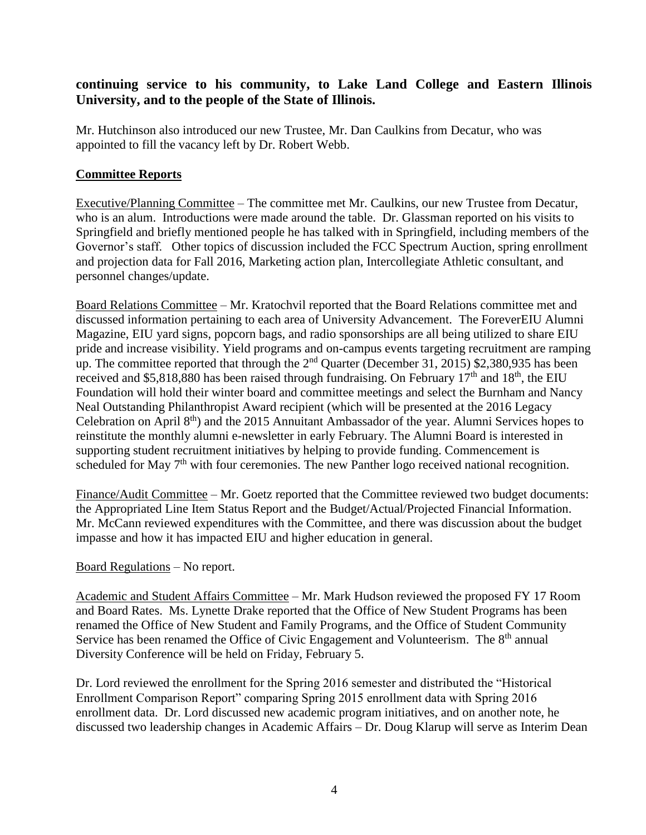## **continuing service to his community, to Lake Land College and Eastern Illinois University, and to the people of the State of Illinois.**

Mr. Hutchinson also introduced our new Trustee, Mr. Dan Caulkins from Decatur, who was appointed to fill the vacancy left by Dr. Robert Webb.

## **Committee Reports**

Executive/Planning Committee – The committee met Mr. Caulkins, our new Trustee from Decatur, who is an alum. Introductions were made around the table. Dr. Glassman reported on his visits to Springfield and briefly mentioned people he has talked with in Springfield, including members of the Governor's staff. Other topics of discussion included the FCC Spectrum Auction, spring enrollment and projection data for Fall 2016, Marketing action plan, Intercollegiate Athletic consultant, and personnel changes/update.

Board Relations Committee – Mr. Kratochvil reported that the Board Relations committee met and discussed information pertaining to each area of University Advancement. The ForeverEIU Alumni Magazine, EIU yard signs, popcorn bags, and radio sponsorships are all being utilized to share EIU pride and increase visibility. Yield programs and on-campus events targeting recruitment are ramping up. The committee reported that through the  $2<sup>nd</sup>$  Quarter (December 31, 2015) \$2,380,935 has been received and \$5,818,880 has been raised through fundraising. On February  $17<sup>th</sup>$  and  $18<sup>th</sup>$ , the EIU Foundation will hold their winter board and committee meetings and select the Burnham and Nancy Neal Outstanding Philanthropist Award recipient (which will be presented at the 2016 Legacy Celebration on April 8<sup>th</sup>) and the 2015 Annuitant Ambassador of the year. Alumni Services hopes to reinstitute the monthly alumni e-newsletter in early February. The Alumni Board is interested in supporting student recruitment initiatives by helping to provide funding. Commencement is scheduled for May 7<sup>th</sup> with four ceremonies. The new Panther logo received national recognition.

Finance/Audit Committee – Mr. Goetz reported that the Committee reviewed two budget documents: the Appropriated Line Item Status Report and the Budget/Actual/Projected Financial Information. Mr. McCann reviewed expenditures with the Committee, and there was discussion about the budget impasse and how it has impacted EIU and higher education in general.

## Board Regulations – No report.

Academic and Student Affairs Committee – Mr. Mark Hudson reviewed the proposed FY 17 Room and Board Rates. Ms. Lynette Drake reported that the Office of New Student Programs has been renamed the Office of New Student and Family Programs, and the Office of Student Community Service has been renamed the Office of Civic Engagement and Volunteerism. The  $8<sup>th</sup>$  annual Diversity Conference will be held on Friday, February 5.

Dr. Lord reviewed the enrollment for the Spring 2016 semester and distributed the "Historical Enrollment Comparison Report" comparing Spring 2015 enrollment data with Spring 2016 enrollment data. Dr. Lord discussed new academic program initiatives, and on another note, he discussed two leadership changes in Academic Affairs – Dr. Doug Klarup will serve as Interim Dean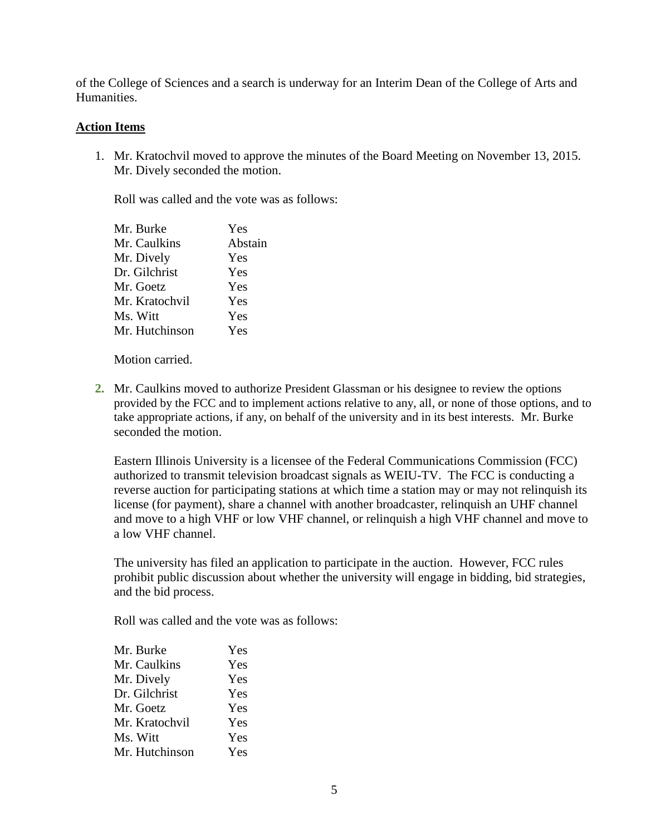of the College of Sciences and a search is underway for an Interim Dean of the College of Arts and Humanities.

### **Action Items**

1. Mr. Kratochvil moved to approve the minutes of the Board Meeting on November 13, 2015. Mr. Dively seconded the motion.

Roll was called and the vote was as follows:

| Mr. Burke      | Yes     |
|----------------|---------|
| Mr. Caulkins   | Abstain |
| Mr. Dively     | Yes     |
| Dr. Gilchrist  | Yes     |
| Mr. Goetz      | Yes     |
| Mr. Kratochvil | Yes     |
| Ms. Witt       | Yes     |
| Mr. Hutchinson | Yes     |
|                |         |

Motion carried.

**2.** Mr. Caulkins moved to authorize President Glassman or his designee to review the options provided by the FCC and to implement actions relative to any, all, or none of those options, and to take appropriate actions, if any, on behalf of the university and in its best interests. Mr. Burke seconded the motion.

Eastern Illinois University is a licensee of the Federal Communications Commission (FCC) authorized to transmit television broadcast signals as WEIU-TV. The FCC is conducting a reverse auction for participating stations at which time a station may or may not relinquish its license (for payment), share a channel with another broadcaster, relinquish an UHF channel and move to a high VHF or low VHF channel, or relinquish a high VHF channel and move to a low VHF channel.

The university has filed an application to participate in the auction. However, FCC rules prohibit public discussion about whether the university will engage in bidding, bid strategies, and the bid process.

Roll was called and the vote was as follows:

| Mr. Burke      | Yes |
|----------------|-----|
| Mr. Caulkins   | Yes |
| Mr. Dively     | Yes |
| Dr. Gilchrist  | Yes |
| Mr. Goetz      | Yes |
| Mr. Kratochvil | Yes |
| Ms. Witt       | Yes |
| Mr. Hutchinson | Yes |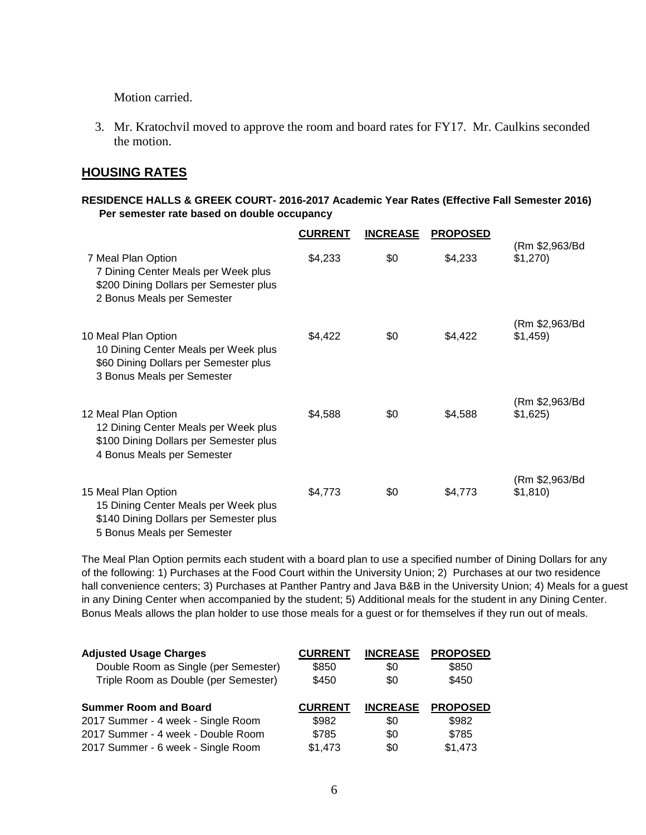Motion carried.

3. Mr. Kratochvil moved to approve the room and board rates for FY17. Mr. Caulkins seconded the motion.

## **HOUSING RATES**

#### **RESIDENCE HALLS & GREEK COURT- 2016-2017 Academic Year Rates (Effective Fall Semester 2016) Per semester rate based on double occupancy**

|                                                                                                                                     | <b>CURRENT</b> | <b>INCREASE</b> | <b>PROPOSED</b> |                           |
|-------------------------------------------------------------------------------------------------------------------------------------|----------------|-----------------|-----------------|---------------------------|
| 7 Meal Plan Option<br>7 Dining Center Meals per Week plus<br>\$200 Dining Dollars per Semester plus<br>2 Bonus Meals per Semester   | \$4,233        | \$0             | \$4,233         | (Rm \$2,963/Bd<br>\$1,270 |
| 10 Meal Plan Option<br>10 Dining Center Meals per Week plus<br>\$60 Dining Dollars per Semester plus<br>3 Bonus Meals per Semester  | \$4,422        | \$0             | \$4,422         | (Rm \$2,963/Bd<br>\$1,459 |
| 12 Meal Plan Option<br>12 Dining Center Meals per Week plus<br>\$100 Dining Dollars per Semester plus<br>4 Bonus Meals per Semester | \$4,588        | \$0             | \$4,588         | (Rm \$2,963/Bd<br>\$1,625 |
| 15 Meal Plan Option<br>15 Dining Center Meals per Week plus<br>\$140 Dining Dollars per Semester plus<br>5 Bonus Meals per Semester | \$4,773        | \$0             | \$4,773         | (Rm \$2,963/Bd<br>\$1,810 |

The Meal Plan Option permits each student with a board plan to use a specified number of Dining Dollars for any of the following: 1) Purchases at the Food Court within the University Union; 2) Purchases at our two residence hall convenience centers; 3) Purchases at Panther Pantry and Java B&B in the University Union; 4) Meals for a guest in any Dining Center when accompanied by the student; 5) Additional meals for the student in any Dining Center. Bonus Meals allows the plan holder to use those meals for a guest or for themselves if they run out of meals.

| <b>Adjusted Usage Charges</b>        | <b>CURRENT</b> | <b>INCREASE</b> | <b>PROPOSED</b> |
|--------------------------------------|----------------|-----------------|-----------------|
| Double Room as Single (per Semester) | \$850          | \$0             | \$850           |
| Triple Room as Double (per Semester) | \$450          | \$0             | \$450           |
|                                      |                |                 |                 |
| <b>Summer Room and Board</b>         | <b>CURRENT</b> | <b>INCREASE</b> | <b>PROPOSED</b> |
| 2017 Summer - 4 week - Single Room   | \$982          | \$0             | \$982           |
| 2017 Summer - 4 week - Double Room   | \$785          | \$0             | \$785           |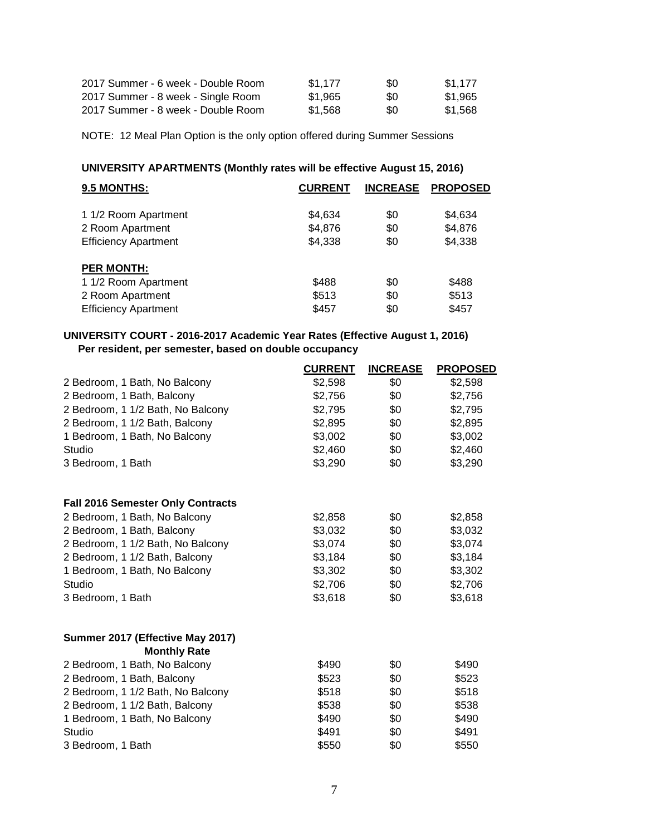| 2017 Summer - 6 week - Double Room | \$1.177 | \$0 | \$1.177 |
|------------------------------------|---------|-----|---------|
| 2017 Summer - 8 week - Single Room | \$1.965 | \$0 | \$1.965 |
| 2017 Summer - 8 week - Double Room | \$1.568 | \$0 | \$1.568 |

NOTE: 12 Meal Plan Option is the only option offered during Summer Sessions

### **UNIVERSITY APARTMENTS (Monthly rates will be effective August 15, 2016)**

| 9.5 MONTHS:                 | <b>CURRENT</b> | <b>INCREASE</b> | <b>PROPOSED</b> |
|-----------------------------|----------------|-----------------|-----------------|
| 1 1/2 Room Apartment        | \$4,634        | \$0             | \$4,634         |
| 2 Room Apartment            | \$4,876        | \$0             | \$4,876         |
| <b>Efficiency Apartment</b> | \$4,338        | \$0             | \$4,338         |
| <b>PER MONTH:</b>           |                |                 |                 |
| 1 1/2 Room Apartment        | \$488          | \$0             | \$488           |
| 2 Room Apartment            | \$513          | \$0             | \$513           |
| <b>Efficiency Apartment</b> | \$457          | \$0             | \$457           |

### **UNIVERSITY COURT - 2016-2017 Academic Year Rates (Effective August 1, 2016) Per resident, per semester, based on double occupancy**

|                                                         | <b>CURRENT</b> | <b>INCREASE</b> | <b>PROPOSED</b> |
|---------------------------------------------------------|----------------|-----------------|-----------------|
| 2 Bedroom, 1 Bath, No Balcony                           | \$2,598        | \$0             | \$2,598         |
| 2 Bedroom, 1 Bath, Balcony                              | \$2,756        | \$0             | \$2,756         |
| 2 Bedroom, 1 1/2 Bath, No Balcony                       | \$2,795        | \$0             | \$2,795         |
| 2 Bedroom, 1 1/2 Bath, Balcony                          | \$2,895        | \$0             | \$2,895         |
| 1 Bedroom, 1 Bath, No Balcony                           | \$3,002        | \$0             | \$3,002         |
| Studio                                                  | \$2,460        | \$0             | \$2,460         |
| 3 Bedroom, 1 Bath                                       | \$3,290        | \$0             | \$3,290         |
| <b>Fall 2016 Semester Only Contracts</b>                |                |                 |                 |
| 2 Bedroom, 1 Bath, No Balcony                           | \$2,858        | \$0             | \$2,858         |
| 2 Bedroom, 1 Bath, Balcony                              | \$3,032        | \$0             | \$3,032         |
| 2 Bedroom, 1 1/2 Bath, No Balcony                       | \$3,074        | \$0             | \$3,074         |
| 2 Bedroom, 1 1/2 Bath, Balcony                          | \$3,184        | \$0             | \$3,184         |
| 1 Bedroom, 1 Bath, No Balcony                           | \$3,302        | \$0             | \$3,302         |
| Studio                                                  | \$2,706        | \$0             | \$2,706         |
| 3 Bedroom, 1 Bath                                       | \$3,618        | \$0             | \$3,618         |
| Summer 2017 (Effective May 2017)<br><b>Monthly Rate</b> |                |                 |                 |
| 2 Bedroom, 1 Bath, No Balcony                           | \$490          | \$0             | \$490           |
| 2 Bedroom, 1 Bath, Balcony                              | \$523          | \$0             | \$523           |
| 2 Bedroom, 1 1/2 Bath, No Balcony                       | \$518          | \$0             | \$518           |
| 2 Bedroom, 1 1/2 Bath, Balcony                          | \$538          | \$0             | \$538           |
| 1 Bedroom, 1 Bath, No Balcony                           | \$490          | \$0             | \$490           |
| Studio                                                  | \$491          | \$0             | \$491           |
| 3 Bedroom, 1 Bath                                       | \$550          | \$0             | \$550           |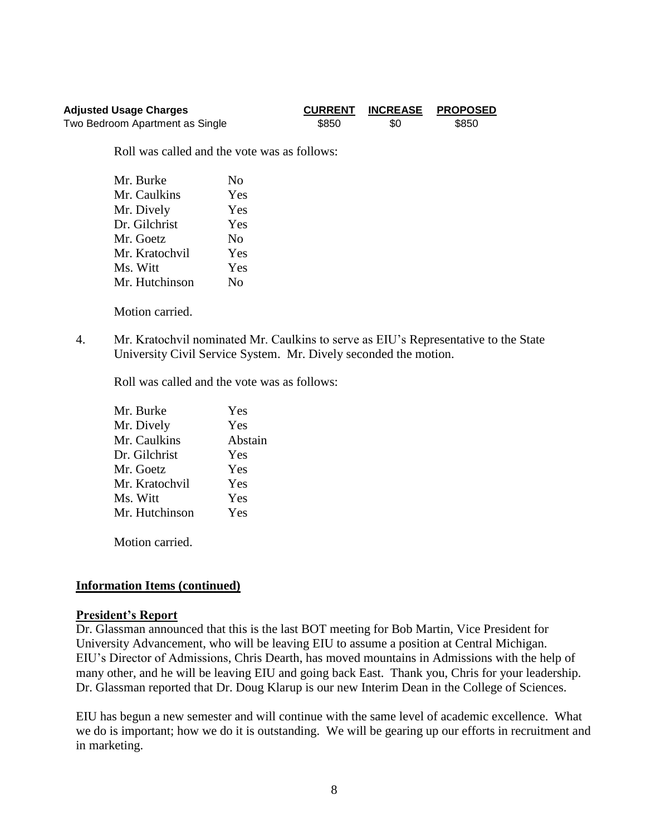| <b>Adjusted Usage Charges</b>   |       | <b>CURRENT INCREASE</b> | <b>PROPOSED</b> |
|---------------------------------|-------|-------------------------|-----------------|
| Two Bedroom Apartment as Single | \$850 | \$0                     | \$850           |

Roll was called and the vote was as follows:

| Mr. Burke      | No             |
|----------------|----------------|
| Mr. Caulkins   | Yes            |
| Mr. Dively     | Yes            |
| Dr. Gilchrist  | Yes            |
| Mr. Goetz      | N <sub>0</sub> |
| Mr. Kratochvil | Yes            |
| Ms. Witt       | Yes            |
| Mr. Hutchinson | No             |

Motion carried.

4. Mr. Kratochvil nominated Mr. Caulkins to serve as EIU's Representative to the State University Civil Service System. Mr. Dively seconded the motion.

Roll was called and the vote was as follows:

| Yes     |
|---------|
| Yes     |
| Abstain |
| Yes     |
| Yes     |
| Yes     |
| Yes     |
| Yes     |
|         |

Motion carried.

### **Information Items (continued)**

#### **President's Report**

Dr. Glassman announced that this is the last BOT meeting for Bob Martin, Vice President for University Advancement, who will be leaving EIU to assume a position at Central Michigan. EIU's Director of Admissions, Chris Dearth, has moved mountains in Admissions with the help of many other, and he will be leaving EIU and going back East. Thank you, Chris for your leadership. Dr. Glassman reported that Dr. Doug Klarup is our new Interim Dean in the College of Sciences.

EIU has begun a new semester and will continue with the same level of academic excellence. What we do is important; how we do it is outstanding. We will be gearing up our efforts in recruitment and in marketing.